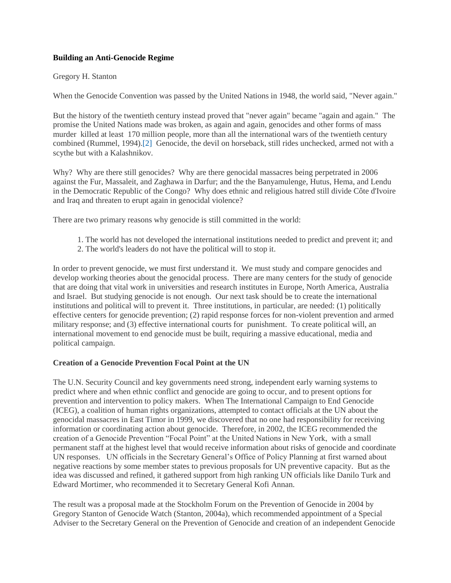# **Building an Anti-Genocide Regime**

## Gregory H. Stanton

When the Genocide Convention was passed by the United Nations in 1948, the world said, "Never again."

But the history of the twentieth century instead proved that "never again" became "again and again." The promise the United Nations made was broken, as again and again, genocides and other forms of mass murder killed at least 170 million people, more than all the international wars of the twentieth century combined (Rummel, 1994)[.\[2\]](http://genocidewatch.org/BuildingAnAnti-GenocideRegimebyGregoryStanton.htm#_ftn2) Genocide, the devil on horseback, still rides unchecked, armed not with a scythe but with a Kalashnikov.

Why? Why are there still genocides? Why are there genocidal massacres being perpetrated in 2006 against the Fur, Massaleit, and Zaghawa in Darfur; and the the Banyamulenge, Hutus, Hema, and Lendu in the Democratic Republic of the Congo? Why does ethnic and religious hatred still divide Côte d'Ivoire and Iraq and threaten to erupt again in genocidal violence?

There are two primary reasons why genocide is still committed in the world:

- 1. The world has not developed the international institutions needed to predict and prevent it; and
- 2. The world's leaders do not have the political will to stop it.

In order to prevent genocide, we must first understand it. We must study and compare genocides and develop working theories about the genocidal process. There are many centers for the study of genocide that are doing that vital work in universities and research institutes in Europe, North America, Australia and Israel. But studying genocide is not enough. Our next task should be to create the international institutions and political will to prevent it. Three institutions, in particular, are needed: (1) politically effective centers for genocide prevention; (2) rapid response forces for non-violent prevention and armed military response; and (3) effective international courts for punishment. To create political will, an international movement to end genocide must be built, requiring a massive educational, media and political campaign.

## **Creation of a Genocide Prevention Focal Point at the UN**

The U.N. Security Council and key governments need strong, independent early warning systems to predict where and when ethnic conflict and genocide are going to occur, and to present options for prevention and intervention to policy makers. When The International Campaign to End Genocide (ICEG), a coalition of human rights organizations, attempted to contact officials at the UN about the genocidal massacres in East Timor in 1999, we discovered that no one had responsibility for receiving information or coordinating action about genocide. Therefore, in 2002, the ICEG recommended the creation of a Genocide Prevention "Focal Point" at the United Nations in New York, with a small permanent staff at the highest level that would receive information about risks of genocide and coordinate UN responses. UN officials in the Secretary General's Office of Policy Planning at first warned about negative reactions by some member states to previous proposals for UN preventive capacity. But as the idea was discussed and refined, it gathered support from high ranking UN officials like Danilo Turk and Edward Mortimer, who recommended it to Secretary General Kofi Annan.

The result was a proposal made at the Stockholm Forum on the Prevention of Genocide in 2004 by Gregory Stanton of Genocide Watch (Stanton, 2004a), which recommended appointment of a Special Adviser to the Secretary General on the Prevention of Genocide and creation of an independent Genocide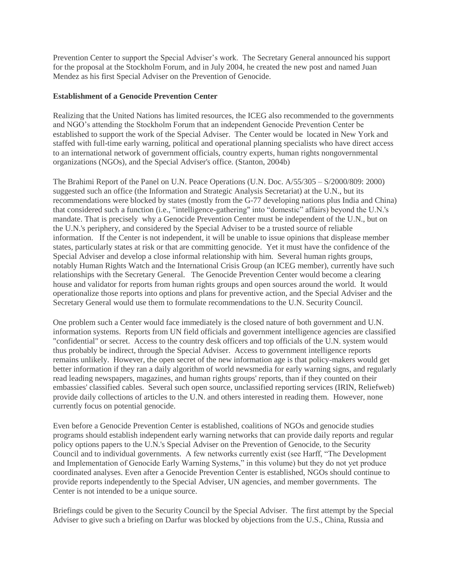Prevention Center to support the Special Adviser's work. The Secretary General announced his support for the proposal at the Stockholm Forum, and in July 2004, he created the new post and named Juan Mendez as his first Special Adviser on the Prevention of Genocide.

## **Establishment of a Genocide Prevention Center**

Realizing that the United Nations has limited resources, the ICEG also recommended to the governments and NGO's attending the Stockholm Forum that an independent Genocide Prevention Center be established to support the work of the Special Adviser. The Center would be located in New York and staffed with full-time early warning, political and operational planning specialists who have direct access to an international network of government officials, country experts, human rights nongovernmental organizations (NGOs), and the Special Adviser's office. (Stanton, 2004b)

The Brahimi Report of the Panel on U.N. Peace Operations (U.N. Doc. A/55/305 – S/2000/809: 2000) suggested such an office (the Information and Strategic Analysis Secretariat) at the U.N., but its recommendations were blocked by states (mostly from the G-77 developing nations plus India and China) that considered such a function (i.e., "intelligence-gathering" into "domestic" affairs) beyond the U.N.'s mandate. That is precisely why a Genocide Prevention Center must be independent of the U.N., but on the U.N.'s periphery, and considered by the Special Adviser to be a trusted source of reliable information. If the Center is not independent, it will be unable to issue opinions that displease member states, particularly states at risk or that are committing genocide. Yet it must have the confidence of the Special Adviser and develop a close informal relationship with him. Several human rights groups, notably Human Rights Watch and the International Crisis Group (an ICEG member), currently have such relationships with the Secretary General. The Genocide Prevention Center would become a clearing house and validator for reports from human rights groups and open sources around the world. It would operationalize those reports into options and plans for preventive action, and the Special Adviser and the Secretary General would use them to formulate recommendations to the U.N. Security Council.

One problem such a Center would face immediately is the closed nature of both government and U.N. information systems. Reports from UN field officials and government intelligence agencies are classified "confidential" or secret. Access to the country desk officers and top officials of the U.N. system would thus probably be indirect, through the Special Adviser. Access to government intelligence reports remains unlikely. However, the open secret of the new information age is that policy-makers would get better information if they ran a daily algorithm of world newsmedia for early warning signs, and regularly read leading newspapers, magazines, and human rights groups' reports, than if they counted on their embassies' classified cables. Several such open source, unclassified reporting services (IRIN, Reliefweb) provide daily collections of articles to the U.N. and others interested in reading them. However, none currently focus on potential genocide.

Even before a Genocide Prevention Center is established, coalitions of NGOs and genocide studies programs should establish independent early warning networks that can provide daily reports and regular policy options papers to the U.N.'s Special Adviser on the Prevention of Genocide, to the Security Council and to individual governments. A few networks currently exist (see Harff, "The Development and Implementation of Genocide Early Warning Systems," in this volume) but they do not yet produce coordinated analyses. Even after a Genocide Prevention Center is established, NGOs should continue to provide reports independently to the Special Adviser, UN agencies, and member governments. The Center is not intended to be a unique source.

Briefings could be given to the Security Council by the Special Adviser. The first attempt by the Special Adviser to give such a briefing on Darfur was blocked by objections from the U.S., China, Russia and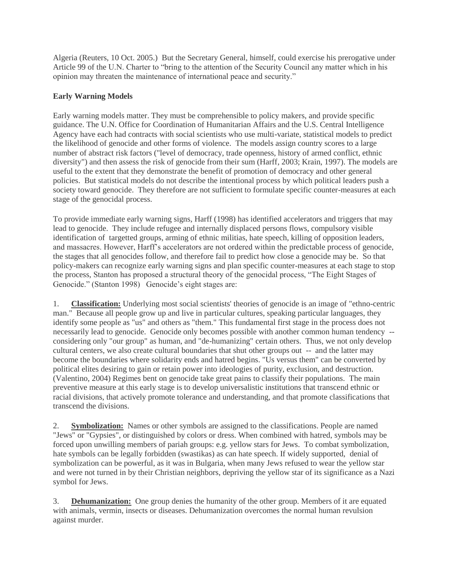Algeria (Reuters, 10 Oct. 2005.) But the Secretary General, himself, could exercise his prerogative under Article 99 of the U.N. Charter to "bring to the attention of the Security Council any matter which in his opinion may threaten the maintenance of international peace and security."

# **Early Warning Models**

Early warning models matter. They must be comprehensible to policy makers, and provide specific guidance. The U.N. Office for Coordination of Humanitarian Affairs and the U.S. Central Intelligence Agency have each had contracts with social scientists who use multi-variate, statistical models to predict the likelihood of genocide and other forms of violence. The models assign country scores to a large number of abstract risk factors ("level of democracy, trade openness, history of armed conflict, ethnic diversity") and then assess the risk of genocide from their sum (Harff, 2003; Krain, 1997). The models are useful to the extent that they demonstrate the benefit of promotion of democracy and other general policies. But statistical models do not describe the intentional process by which political leaders push a society toward genocide. They therefore are not sufficient to formulate specific counter-measures at each stage of the genocidal process.

To provide immediate early warning signs, Harff (1998) has identified accelerators and triggers that may lead to genocide. They include refugee and internally displaced persons flows, compulsory visible identification of targetted groups, arming of ethnic militias, hate speech, killing of opposition leaders, and massacres. However, Harff's accelerators are not ordered within the predictable process of genocide, the stages that all genocides follow, and therefore fail to predict how close a genocide may be. So that policy-makers can recognize early warning signs and plan specific counter-measures at each stage to stop the process, Stanton has proposed a structural theory of the genocidal process, "The Eight Stages of Genocide." (Stanton 1998) Genocide's eight stages are:

1. **Classification:** Underlying most social scientists' theories of genocide is an image of "ethno-centric man." Because all people grow up and live in particular cultures, speaking particular languages, they identify some people as "us" and others as "them." This fundamental first stage in the process does not necessarily lead to genocide. Genocide only becomes possible with another common human tendency - considering only "our group" as human, and "de-humanizing" certain others. Thus, we not only develop cultural centers, we also create cultural boundaries that shut other groups out -- and the latter may become the boundaries where solidarity ends and hatred begins. "Us versus them" can be converted by political elites desiring to gain or retain power into ideologies of purity, exclusion, and destruction. (Valentino, 2004) Regimes bent on genocide take great pains to classify their populations. The main preventive measure at this early stage is to develop universalistic institutions that transcend ethnic or racial divisions, that actively promote tolerance and understanding, and that promote classifications that transcend the divisions.

2. **Symbolization:** Names or other symbols are assigned to the classifications. People are named "Jews" or "Gypsies", or distinguished by colors or dress. When combined with hatred, symbols may be forced upon unwilling members of pariah groups: e.g. yellow stars for Jews. To combat symbolization, hate symbols can be legally forbidden (swastikas) as can hate speech. If widely supported, denial of symbolization can be powerful, as it was in Bulgaria, when many Jews refused to wear the yellow star and were not turned in by their Christian neighbors, depriving the yellow star of its significance as a Nazi symbol for Jews.

3. **Dehumanization:** One group denies the humanity of the other group. Members of it are equated with animals, vermin, insects or diseases. Dehumanization overcomes the normal human revulsion against murder.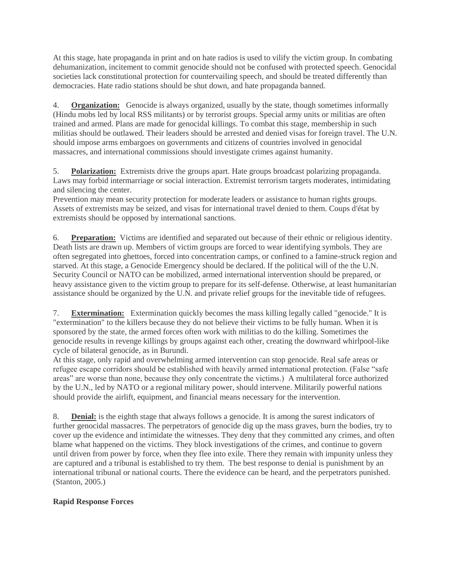At this stage, hate propaganda in print and on hate radios is used to vilify the victim group. In combating dehumanization, incitement to commit genocide should not be confused with protected speech. Genocidal societies lack constitutional protection for countervailing speech, and should be treated differently than democracies. Hate radio stations should be shut down, and hate propaganda banned.

4. **Organization:** Genocide is always organized, usually by the state, though sometimes informally (Hindu mobs led by local RSS militants) or by terrorist groups. Special army units or militias are often trained and armed. Plans are made for genocidal killings. To combat this stage, membership in such militias should be outlawed. Their leaders should be arrested and denied visas for foreign travel. The U.N. should impose arms embargoes on governments and citizens of countries involved in genocidal massacres, and international commissions should investigate crimes against humanity.

5. **Polarization:** Extremists drive the groups apart. Hate groups broadcast polarizing propaganda. Laws may forbid intermarriage or social interaction. Extremist terrorism targets moderates, intimidating and silencing the center.

Prevention may mean security protection for moderate leaders or assistance to human rights groups. Assets of extremists may be seized, and visas for international travel denied to them. Coups d'état by extremists should be opposed by international sanctions.

6. **Preparation:** Victims are identified and separated out because of their ethnic or religious identity. Death lists are drawn up. Members of victim groups are forced to wear identifying symbols. They are often segregated into ghettoes, forced into concentration camps, or confined to a famine-struck region and starved. At this stage, a Genocide Emergency should be declared. If the political will of the the U.N. Security Council or NATO can be mobilized, armed international intervention should be prepared, or heavy assistance given to the victim group to prepare for its self-defense. Otherwise, at least humanitarian assistance should be organized by the U.N. and private relief groups for the inevitable tide of refugees.

7. **Extermination:** Extermination quickly becomes the mass killing legally called "genocide." It is "extermination" to the killers because they do not believe their victims to be fully human. When it is sponsored by the state, the armed forces often work with militias to do the killing. Sometimes the genocide results in revenge killings by groups against each other, creating the downward whirlpool-like cycle of bilateral genocide, as in Burundi.

At this stage, only rapid and overwhelming armed intervention can stop genocide. Real safe areas or refugee escape corridors should be established with heavily armed international protection. (False "safe areas" are worse than none, because they only concentrate the victims.) A multilateral force authorized by the U.N., led by NATO or a regional military power, should intervene. Militarily powerful nations should provide the airlift, equipment, and financial means necessary for the intervention.

8. **Denial:** is the eighth stage that always follows a genocide. It is among the surest indicators of further genocidal massacres. The perpetrators of genocide dig up the mass graves, burn the bodies, try to cover up the evidence and intimidate the witnesses. They deny that they committed any crimes, and often blame what happened on the victims. They block investigations of the crimes, and continue to govern until driven from power by force, when they flee into exile. There they remain with impunity unless they are captured and a tribunal is established to try them. The best response to denial is punishment by an international tribunal or national courts. There the evidence can be heard, and the perpetrators punished. (Stanton, 2005.)

# **Rapid Response Forces**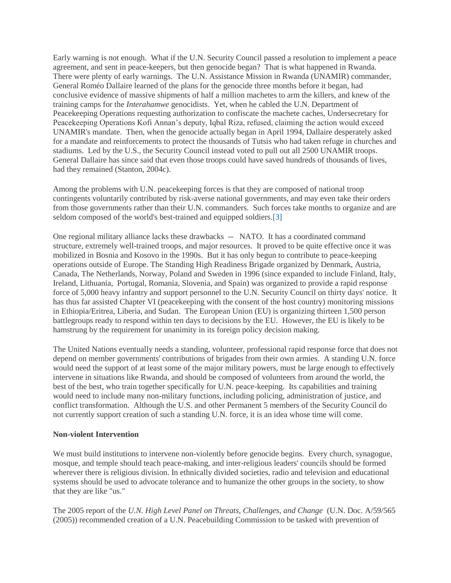Early warning is not enough. What if the U.N. Security Council passed a resolution to implement a peace agreement, and sent in peace-keepers, but then genocide began? That is what happened in Rwanda. There were plenty of early warnings. The U.N. Assistance Mission in Rwanda (UNAMIR) commander, General Roméo Dallaire learned of the plans for the genocide three months before it began, had conclusive evidence of massive shipments of half a million machetes to arm the killers, and knew of the training camps for the *Interahamwe* genocidists. Yet, when he cabled the U.N. Department of Peacekeeping Operations requesting authorization to confiscate the machete caches, Undersecretary for Peacekeeping Operations Kofi Annan's deputy, Iqbal Riza, refused, claiming the action would exceed UNAMIR's mandate. Then, when the genocide actually began in April 1994, Dallaire desperately asked for a mandate and reinforcements to protect the thousands of Tutsis who had taken refuge in churches and stadiums. Led by the U.S., the Security Council instead voted to pull out all 2500 UNAMIR troops. General Dallaire has since said that even those troops could have saved hundreds of thousands of lives, had they remained (Stanton, 2004c).

Among the problems with U.N. peacekeeping forces is that they are composed of national troop contingents voluntarily contributed by risk-averse national governments, and may even take their orders from those governments rather than their U.N. commanders. Such forces take months to organize and are seldom composed of the world's best-trained and equipped soldiers[.\[3\]](http://genocidewatch.org/BuildingAnAnti-GenocideRegimebyGregoryStanton.htm#_ftn3)

One regional military alliance lacks these drawbacks -- NATO. It has a coordinated command structure, extremely well-trained troops, and major resources. It proved to be quite effective once it was mobilized in Bosnia and Kosovo in the 1990s. But it has only begun to contribute to peace-keeping operations outside of Europe. The Standing High Readiness Brigade organized by Denmark, Austria, Canada, The Netherlands, Norway, Poland and Sweden in 1996 (since expanded to include Finland, Italy, Ireland, Lithuania, Portugal, Romania, Slovenia, and Spain) was organized to provide a rapid response force of 5,000 heavy infantry and support personnel to the U.N. Security Council on thirty days' notice. It has thus far assisted Chapter VI (peacekeeping with the consent of the host country) monitoring missions in Ethiopia/Eritrea, Liberia, and Sudan. The European Union (EU) is organizing thirteen 1,500 person battlegroups ready to respond within ten days to decisions by the EU. However, the EU is likely to be hamstrung by the requirement for unanimity in its foreign policy decision making.

The United Nations eventually needs a standing, volunteer, professional rapid response force that does not depend on member governments' contributions of brigades from their own armies. A standing U.N. force would need the support of at least some of the major military powers, must be large enough to effectively intervene in situations like Rwanda, and should be composed of volunteers from around the world, the best of the best, who train together specifically for U.N. peace-keeping. Its capabilities and training would need to include many non-military functions, including policing, administration of justice, and conflict transformation. Although the U.S. and other Permanent 5 members of the Security Council do not currently support creation of such a standing U.N. force, it is an idea whose time will come.

### **Non-violent Intervention**

We must build institutions to intervene non-violently before genocide begins. Every church, synagogue, mosque, and temple should teach peace-making, and inter-religious leaders' councils should be formed wherever there is religious division. In ethnically divided societies, radio and television and educational systems should be used to advocate tolerance and to humanize the other groups in the society, to show that they are like "us."

The 2005 report of the *U.N. High Level Panel on Threats, Challenges, and Change* (U.N. Doc. A/59/565 (2005)) recommended creation of a U.N. Peacebuilding Commission to be tasked with prevention of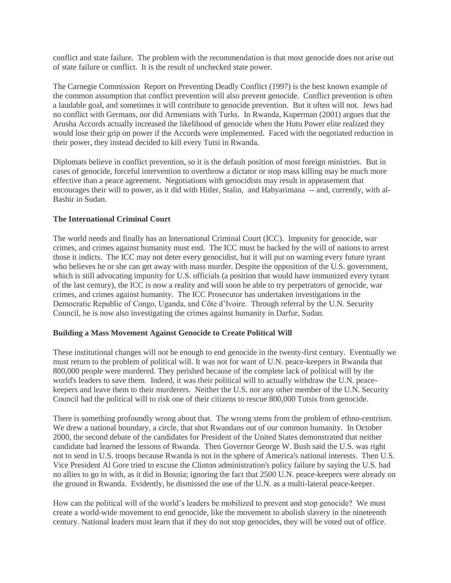conflict and state failure. The problem with the recommendation is that most genocide does not arise out of state failure or conflict. It is the result of unchecked state power.

The Carnegie Commission Report on Preventing Deadly Conflict (1997) is the best known example of the common assumption that conflict prevention will also prevent genocide. Conflict prevention is often a laudable goal, and sometimes it will contribute to genocide prevention. But it often will not. Jews had no conflict with Germans, nor did Armenians with Turks. In Rwanda, Kuperman (2001) argues that the Arusha Accords actually increased the likelihood of genocide when the Hutu Power elite realized they would lose their grip on power if the Accords were implemented. Faced with the negotiated reduction in their power, they instead decided to kill every Tutsi in Rwanda.

Diplomats believe in conflict prevention, so it is the default position of most foreign ministries. But in cases of genocide, forceful intervention to overthrow a dictator or stop mass killing may be much more effective than a peace agreement. Negotiations with genocidists may result in appeasement that encourages their will to power, as it did with Hitler, Stalin, and Habyarimana -- and, currently, with al-Bashir in Sudan.

## **The International Criminal Court**

The world needs and finally has an International Criminal Court (ICC). Impunity for genocide, war crimes, and crimes against humanity must end. The ICC must be backed by the will of nations to arrest those it indicts. The ICC may not deter every genocidist, but it will put on warning every future tyrant who believes he or she can get away with mass murder. Despite the opposition of the U.S. government, which is still advocating impunity for U.S. officials (a position that would have immunized every tyrant of the last century), the ICC is now a reality and will soon be able to try perpetrators of genocide, war crimes, and crimes against humanity. The ICC Prosecutor has undertaken investigations in the Democratic Republic of Congo, Uganda, and Côte d'Ivoire. Through referral by the U.N. Security Council, he is now also investigating the crimes against humanity in Darfur, Sudan.

### **Building a Mass Movement Against Genocide to Create Political Will**

These institutional changes will not be enough to end genocide in the twenty-first century. Eventually we must return to the problem of political will. It was not for want of U.N. peace-keepers in Rwanda that 800,000 people were murdered. They perished because of the complete lack of political will by the world's leaders to save them. Indeed, it was their political will to actually withdraw the U.N. peacekeepers and leave them to their murderers. Neither the U.S. nor any other member of the U.N. Security Council had the political will to risk one of their citizens to rescue 800,000 Tutsis from genocide.

There is something profoundly wrong about that. The wrong stems from the problem of ethno-centrism. We drew a national boundary, a circle, that shut Rwandans out of our common humanity. In October 2000, the second debate of the candidates for President of the United States demonstrated that neither candidate had learned the lessons of Rwanda. Then Governor George W. Bush said the U.S. was right not to send in U.S. troops because Rwanda is not in the sphere of America's national interests. Then U.S. Vice President Al Gore tried to excuse the Clinton administration's policy failure by saying the U.S. had no allies to go in with, as it did in Bosnia; ignoring the fact that 2500 U.N. peace-keepers were already on the ground in Rwanda. Evidently, he dismissed the use of the U.N. as a multi-lateral peace-keeper.

How can the political will of the world's leaders be mobilized to prevent and stop genocide? We must create a world-wide movement to end genocide, like the movement to abolish slavery in the nineteenth century. National leaders must learn that if they do not stop genocides, they will be voted out of office.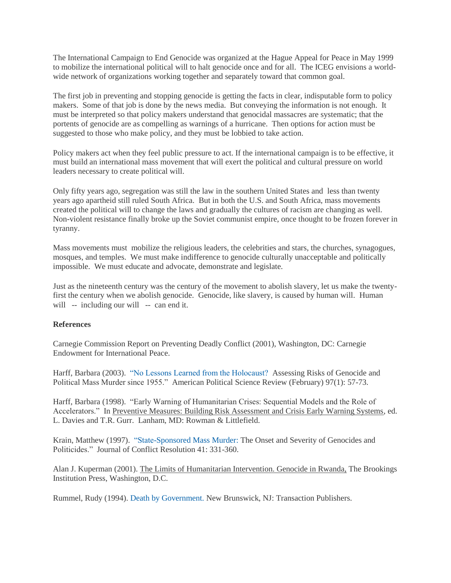The International Campaign to End Genocide was organized at the Hague Appeal for Peace in May 1999 to mobilize the international political will to halt genocide once and for all. The ICEG envisions a worldwide network of organizations working together and separately toward that common goal.

The first job in preventing and stopping genocide is getting the facts in clear, indisputable form to policy makers. Some of that job is done by the news media. But conveying the information is not enough. It must be interpreted so that policy makers understand that genocidal massacres are systematic; that the portents of genocide are as compelling as warnings of a hurricane. Then options for action must be suggested to those who make policy, and they must be lobbied to take action.

Policy makers act when they feel public pressure to act. If the international campaign is to be effective, it must build an international mass movement that will exert the political and cultural pressure on world leaders necessary to create political will.

Only fifty years ago, segregation was still the law in the southern United States and less than twenty years ago apartheid still ruled South Africa. But in both the U.S. and South Africa, mass movements created the political will to change the laws and gradually the cultures of racism are changing as well. Non-violent resistance finally broke up the Soviet communist empire, once thought to be frozen forever in tyranny.

Mass movements must mobilize the religious leaders, the celebrities and stars, the churches, synagogues, mosques, and temples. We must make indifference to genocide culturally unacceptable and politically impossible. We must educate and advocate, demonstrate and legislate.

Just as the nineteenth century was the century of the movement to abolish slavery, let us make the twentyfirst the century when we abolish genocide. Genocide, like slavery, is caused by human will. Human will -- including our will -- can end it.

## **References**

Carnegie Commission Report on Preventing Deadly Conflict (2001), Washington, DC: Carnegie Endowment for International Peace.

Harff, Barbara (2003). ["No Lessons Learned from the Holocaust?](http://genocidewatch.org/aboutgenocide/harffrisksofgenocide.htm) Assessing Risks of Genocide and Political Mass Murder since 1955." American Political Science Review (February) 97(1): 57-73.

Harff, Barbara (1998). "Early Warning of Humanitarian Crises: Sequential Models and the Role of Accelerators." In Preventive Measures: Building Risk Assessment and Crisis Early Warning Systems, ed. L. Davies and T.R. Gurr. Lanham, MD: Rowman & Littlefield.

Krain, Matthew (1997). ["State-Sponsored Mass Murder: T](http://genocidewatch.org/aboutgenocide/krainseverityofgenocides.htm)he Onset and Severity of Genocides and Politicides." Journal of Conflict Resolution 41: 331-360.

Alan J. Kuperman (2001). The Limits of Humanitarian Intervention. Genocide in Rwanda, The Brookings Institution Press, Washington, D.C.

Rummel, Rudy (1994). [Death by Government. N](http://www.hawaii.edu/powerkills/NOTE1.HTM)ew Brunswick, NJ: Transaction Publishers.